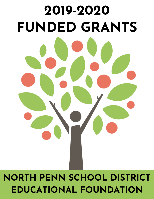

# **NORTH PENN SCHOOL DISTRICT EDUCATIONAL FOUNDATION**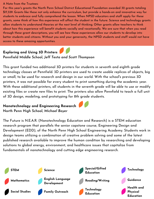#### A Note from the Trustees:

For this year's grants the North Penn School District Educational Foundation awarded 32 grants totaling \$17,339. Grants like these not only enhance the curriculum, but provide a hands-on and innovative way for students to embrace and fully comprehend the lesson. When NPSD educators and staff apply for these grants, some think of how this experience will affect the student in the future. Science and technology grants allow students to understand theories at the next level of thinking. Other grants allow teachers to think about how this experience will benefit students socially and vocationally. We are sure that when you read through these grant descriptions, you will see how these experiences allow our students to develop into better students and citizens. Without you and your generosity, the NPSD students and staff would not have access to these amazing opportunities.

## **Exploring and Using 3D Printers**

#### **Pennfield Middle School,** *Jeff Testa and Scott Thompson*

This grant funded two additional 3D printers for students in seventh and eighth grade technology classes at Pennfield. 3D printers are used to create usable replicas of objects, big or small, to be used for research and design in our world. With the school's previous 3D printers, it was not possible for every student to print something during the academic year. With these additional printers, all students in the seventh grade will be able to use or modify existing files or create new files to print. The printers also allow Pennfield to teach a full unit of 3D design, modeling, and prototyping for 8th grade students.

#### **Nanotechnology and Engineering Research North Penn High School,** *Michael Boyer*

The Future is N.E.A.R. (Nanotechnology Education and Research) is a STEM education research program that parallels the senior capstone course, Engineering Design and Development (EDD), of the North Penn High School Engineering Academy. Students work in design teams utilizing a combination of creative problem solving and some of the latest published research available to improve the human condition by researching and developing solutions to global energy, environment, and healthcare issues that capitalize from fundamentals of nanotechnology and cutting edge engineering research.

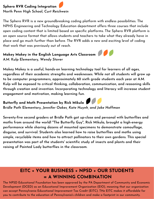## **Sphero RVR Coding Integration North Penn High School,** *Curt Reichwein*

The Sphero RVR is a new groundbreaking coding platform with endless possibilities. The NPHS Engineering and Technology Education department offers three courses that include open coding content that is limited based on specific platforms. The Sphero RVR platform is an open source format that allows students and teachers to take what they already have in place and go much further than before. The RVR adds a new and exciting level of coding that work that was previously out of reach.

## **Makey Makey in the English Language Arts Classroom A.M. Kulp Elementary,** *Wendy Stover*

**Makey Makey is a useful, hands-on learning technology tool for learners of all ages, regardless of their academic strengths and weaknesses. While not all students will grow up to be computer programmers, approximately 60 sixth grade students each year at A.M. Kulp will be exposed to critical thinking, collaboration, communication, and reasoning skills through creation and invention. Incorporating technology and literacy will increase student engagement and motivation, making learning fun.**

## **Butterfly and Moth Presentation by Rick Mikula**

**Bridle Path Elementary,** *Jennifer Oakes, Kate Huynh, and Jake Hoffman*

**Seventy-five second graders at Bridle Path got up-close and personal with butterflies and moths from around the world! "The Butterfly Guy", Rick Mikula, brought a high-energy performance while sharing dozens of mounted specimens to demonstrate camouflage, disguise, and survival. Students also learned how to raise butterflies and moths using simple, recyclable items and how to attract pollinators to their own gardens. This special presentation was part of the students' scientific study of insects and plants and their raising of Painted Lady butterflies in the classroom.**

## **EITC + YOUR BUSINESS + NPSD + OUR STUDENTS = A WINNING COMBINATION**

The NPSD Educational Foundation has been approved by the PA Department of Community and Economic Development (DCED) as an Educational Improvement Organization (EIO), meaning that our organization can accept Pennsylvania Educational Improvement Tax Credit (EITC). THe EITC makes it affordable for you to contribute to the education of Pennsylvania's children and make a footprint in our community.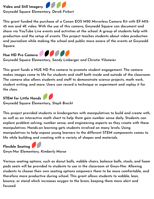

**This grant funded the purchase of a Canon EOS M50 Mirrorless Camera Kit with EF-M15- 45 mm and 4K video. With the use of this camera, Gwynedd Square can document and share via YouTube Live events and activities at the school. A group of students help with production and the setup of events. This project teaches students about video production and journalism while making the school and public more aware of the events at Gwynedd Square.**



**Gwynedd Square Elementary,** *Sandy Linberger and Christie Vilsmeier*

**This grant funds a HUE HD Pro camera to promote student engagement. The camera makes images come to life for students and staff both inside and outside of the classroom. The camera also allows students and staff to demonstrate science projects, math work, student writing, and more. Users can record a technique or experiment and replay it for the class.**

**STEM for Little Hands Gwynedd Square Elementary,** *Steph Brecht*

**This project provided students in kindergarten with manipulatives to build and create with, as well as an interactive math chart to help them gain number sense daily. Students can explore problem solving, number sense, and engineering aspects as they create with these manipulatives. Hands-on learning gets students involved on many levels. Using manipulatives to help expose young learners to the different STEM components comes to life while building and creating with a variety of shapes and materials.**

**Flexible Seating Gwyn-Nor Elementary,** *Kimberly Morse*

**Various seating options, such as donut balls, wobble chairs, balance balls, stools, and foam pads seats will be provided to students to use in the classroom at Gwyn-Nor. Allowing students to choose their own seating options empowers them to be more comfortable, and therefore more productive during school. This grant allows students to wobble, lean, bounce, or stand which increases oxygen to the brain, keeping them more alert and focused.**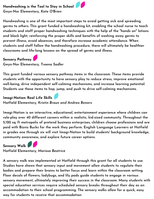## **Handwashing is the Tool to Stay in School Gwyn-Nor Elementary,** *Kate O'Brien*

**Handwashing is one of the most important steps to avoid getting sick and spreading germs to others. This grant funded a handwashing kit, enabling the school nurse to teach students and staff proper handwashing techniques with the help of the "hands on" lotions and black light, reinforcing the proper skills and benefits of washing away germs to prevent illness, avoid absences, and therefore increase academic attendance. When students and staff follow the handwashing procedure, there will ultimately be healthier classrooms and life-long lessons on the spread of germs and illness.**

#### **Sensory Pathway**

**Gwyn-Nor Elementary,** *Treena Sadler*

**This grant funded various sensory pathway items in the classroom. These items provide students with the opportunity to have sensory play to reduce stress, improve emotional well-being, drive independent self-calming mechanisms, and increase learning potential. Students use these items to hop, jump, and push to drive self-calming mechanisms.**

## **Imagi-Nation: Real Life Skills**

**Hatfield Elementary,** *Kristin Braun and Andrea Bowers*

**Imagi-Nation is an interactive, educational, entertainment experience where children can role-play over 40 different careers within a realistic, kid-sized community. Throughout the 5,120 sq. ft metropolis of pretend business enterprises, children choose professions and are paid with Biznis Bucks for the work they perform. English Language Learners at Hatfield in grades one through six will visit Imagi-Nation to build students' background knowledge, community awareness, and explore future career options.**

**Sensory Walk Hatfield Elementary,** *Marissa Beatrice*

**A sensory walk was implemented at Hatfield through this grant for all students to use. Studies have shown that sensory input and movement allow students to regulate their bodies and prepare their brains to better focus and learn within the classroom setting. Floor decals of flowers, ladybugs, and lily pads guide students to engage in various sensory movement, ultimately improving their success in the classroom. Many students with special education services require scheduled sensory breaks throughout their day as an accommodation to their school programming. The sensory walks allow for a quick, easy way for students to receive that accommodation.**